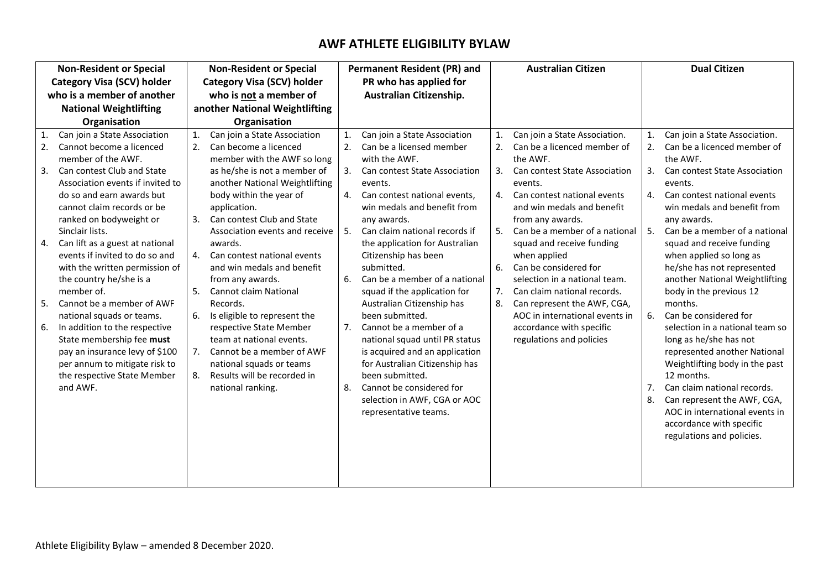# **AWF ATHLETE ELIGIBILITY BYLAW**

| <b>Non-Resident or Special</b>             |                                                                                                                                                                                                                                                                                                                                                                                                                                                                                                                                                                                                                                                 | <b>Non-Resident or Special</b>                         |                                                                                                                                                                                                                                                                                                                                                                                                                                                                                                                                                                                                               | <b>Permanent Resident (PR) and</b>                       |                                                                                                                                                                                                                                                                                                                                                                                                                                                                                                                                                                                                                                                                         | <b>Australian Citizen</b>              |                                                                                                                                                                                                                                                                                                                                                                                                                                                                                                       | <b>Dual Citizen</b>                          |                                                                                                                                                                                                                                                                                                                                                                                                                                                                                                                                                                                                                                                                                                    |
|--------------------------------------------|-------------------------------------------------------------------------------------------------------------------------------------------------------------------------------------------------------------------------------------------------------------------------------------------------------------------------------------------------------------------------------------------------------------------------------------------------------------------------------------------------------------------------------------------------------------------------------------------------------------------------------------------------|--------------------------------------------------------|---------------------------------------------------------------------------------------------------------------------------------------------------------------------------------------------------------------------------------------------------------------------------------------------------------------------------------------------------------------------------------------------------------------------------------------------------------------------------------------------------------------------------------------------------------------------------------------------------------------|----------------------------------------------------------|-------------------------------------------------------------------------------------------------------------------------------------------------------------------------------------------------------------------------------------------------------------------------------------------------------------------------------------------------------------------------------------------------------------------------------------------------------------------------------------------------------------------------------------------------------------------------------------------------------------------------------------------------------------------------|----------------------------------------|-------------------------------------------------------------------------------------------------------------------------------------------------------------------------------------------------------------------------------------------------------------------------------------------------------------------------------------------------------------------------------------------------------------------------------------------------------------------------------------------------------|----------------------------------------------|----------------------------------------------------------------------------------------------------------------------------------------------------------------------------------------------------------------------------------------------------------------------------------------------------------------------------------------------------------------------------------------------------------------------------------------------------------------------------------------------------------------------------------------------------------------------------------------------------------------------------------------------------------------------------------------------------|
| <b>Category Visa (SCV) holder</b>          |                                                                                                                                                                                                                                                                                                                                                                                                                                                                                                                                                                                                                                                 | <b>Category Visa (SCV) holder</b>                      |                                                                                                                                                                                                                                                                                                                                                                                                                                                                                                                                                                                                               | PR who has applied for                                   |                                                                                                                                                                                                                                                                                                                                                                                                                                                                                                                                                                                                                                                                         |                                        |                                                                                                                                                                                                                                                                                                                                                                                                                                                                                                       |                                              |                                                                                                                                                                                                                                                                                                                                                                                                                                                                                                                                                                                                                                                                                                    |
| who is a member of another                 |                                                                                                                                                                                                                                                                                                                                                                                                                                                                                                                                                                                                                                                 | who is not a member of                                 |                                                                                                                                                                                                                                                                                                                                                                                                                                                                                                                                                                                                               |                                                          | Australian Citizenship.                                                                                                                                                                                                                                                                                                                                                                                                                                                                                                                                                                                                                                                 |                                        |                                                                                                                                                                                                                                                                                                                                                                                                                                                                                                       |                                              |                                                                                                                                                                                                                                                                                                                                                                                                                                                                                                                                                                                                                                                                                                    |
| <b>National Weightlifting</b>              |                                                                                                                                                                                                                                                                                                                                                                                                                                                                                                                                                                                                                                                 | another National Weightlifting                         |                                                                                                                                                                                                                                                                                                                                                                                                                                                                                                                                                                                                               |                                                          |                                                                                                                                                                                                                                                                                                                                                                                                                                                                                                                                                                                                                                                                         |                                        |                                                                                                                                                                                                                                                                                                                                                                                                                                                                                                       |                                              |                                                                                                                                                                                                                                                                                                                                                                                                                                                                                                                                                                                                                                                                                                    |
|                                            | Organisation                                                                                                                                                                                                                                                                                                                                                                                                                                                                                                                                                                                                                                    |                                                        | Organisation                                                                                                                                                                                                                                                                                                                                                                                                                                                                                                                                                                                                  |                                                          |                                                                                                                                                                                                                                                                                                                                                                                                                                                                                                                                                                                                                                                                         |                                        |                                                                                                                                                                                                                                                                                                                                                                                                                                                                                                       |                                              |                                                                                                                                                                                                                                                                                                                                                                                                                                                                                                                                                                                                                                                                                                    |
| $\mathbf{1}$<br>2.<br>3.<br>4.<br>5.<br>6. | Can join a State Association<br>Cannot become a licenced<br>member of the AWF.<br>Can contest Club and State<br>Association events if invited to<br>do so and earn awards but<br>cannot claim records or be<br>ranked on bodyweight or<br>Sinclair lists.<br>Can lift as a guest at national<br>events if invited to do so and<br>with the written permission of<br>the country he/she is a<br>member of.<br>Cannot be a member of AWF<br>national squads or teams.<br>In addition to the respective<br>State membership fee must<br>pay an insurance levy of \$100<br>per annum to mitigate risk to<br>the respective State Member<br>and AWF. | 1.<br>2.<br>3.<br>$\mathbf{4}$<br>5.<br>6.<br>7.<br>8. | Can join a State Association<br>Can become a licenced<br>member with the AWF so long<br>as he/she is not a member of<br>another National Weightlifting<br>body within the year of<br>application.<br>Can contest Club and State<br>Association events and receive<br>awards.<br>Can contest national events<br>and win medals and benefit<br>from any awards.<br><b>Cannot claim National</b><br>Records.<br>Is eligible to represent the<br>respective State Member<br>team at national events.<br>Cannot be a member of AWF<br>national squads or teams<br>Results will be recorded in<br>national ranking. | $\mathbf{1}$ .<br>2.<br>3.<br>4.<br>5.<br>6.<br>7.<br>8. | Can join a State Association<br>Can be a licensed member<br>with the AWF.<br>Can contest State Association<br>events.<br>Can contest national events,<br>win medals and benefit from<br>any awards.<br>Can claim national records if<br>the application for Australian<br>Citizenship has been<br>submitted.<br>Can be a member of a national<br>squad if the application for<br>Australian Citizenship has<br>been submitted.<br>Cannot be a member of a<br>national squad until PR status<br>is acquired and an application<br>for Australian Citizenship has<br>been submitted.<br>Cannot be considered for<br>selection in AWF, CGA or AOC<br>representative teams. | 1.<br>3.<br>4.<br>5.<br>6.<br>7.<br>8. | Can join a State Association.<br>Can be a licenced member of<br>the AWF.<br>Can contest State Association<br>events.<br>Can contest national events<br>and win medals and benefit<br>from any awards.<br>Can be a member of a national<br>squad and receive funding<br>when applied<br>Can be considered for<br>selection in a national team.<br>Can claim national records.<br>Can represent the AWF, CGA,<br>AOC in international events in<br>accordance with specific<br>regulations and policies | 1.<br>2.<br>3.<br>4.<br>5.<br>6.<br>7.<br>8. | Can join a State Association.<br>Can be a licenced member of<br>the AWF.<br>Can contest State Association<br>events.<br>Can contest national events<br>win medals and benefit from<br>any awards.<br>Can be a member of a national<br>squad and receive funding<br>when applied so long as<br>he/she has not represented<br>another National Weightlifting<br>body in the previous 12<br>months.<br>Can be considered for<br>selection in a national team so<br>long as he/she has not<br>represented another National<br>Weightlifting body in the past<br>12 months.<br>Can claim national records.<br>Can represent the AWF, CGA,<br>AOC in international events in<br>accordance with specific |
|                                            |                                                                                                                                                                                                                                                                                                                                                                                                                                                                                                                                                                                                                                                 |                                                        |                                                                                                                                                                                                                                                                                                                                                                                                                                                                                                                                                                                                               |                                                          |                                                                                                                                                                                                                                                                                                                                                                                                                                                                                                                                                                                                                                                                         |                                        |                                                                                                                                                                                                                                                                                                                                                                                                                                                                                                       |                                              | regulations and policies.                                                                                                                                                                                                                                                                                                                                                                                                                                                                                                                                                                                                                                                                          |